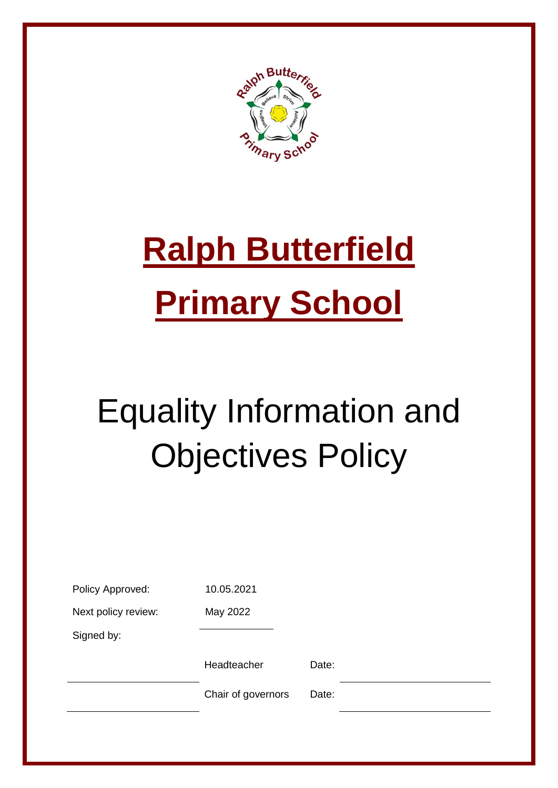

# **Ralph Butterfield Primary School**

## Equality Information and Objectives Policy

| Policy Approved:    | 10.05.2021         |       |  |
|---------------------|--------------------|-------|--|
| Next policy review: | May 2022           |       |  |
| Signed by:          |                    |       |  |
|                     | Headteacher        | Date: |  |
|                     | Chair of governors | Date: |  |
|                     |                    |       |  |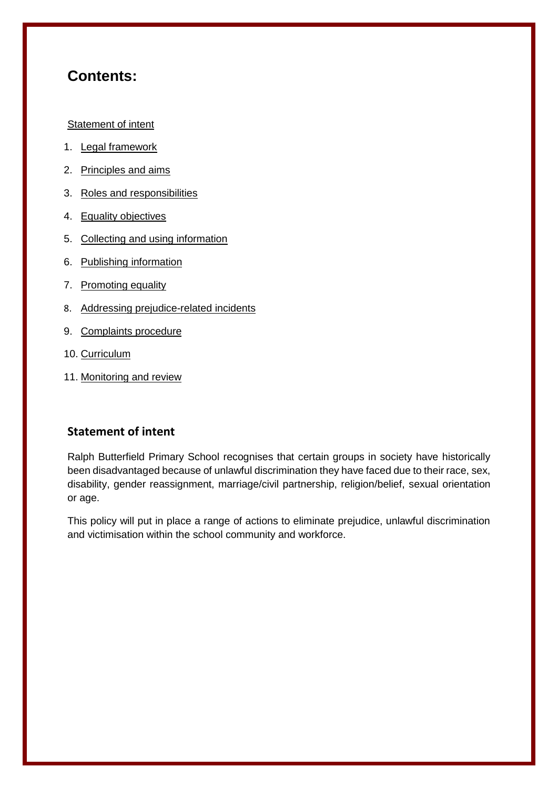## **Contents:**

#### [Statement of intent](#page-1-0)

- 1. [Legal framework](#page-2-0)
- 2. [Principles and aims](#page-3-0)
- 3. [Roles and responsibilities](#page-4-0)
- 4. [Equality objectives](#page-5-0)
- 5. [Collecting and using information](#page-6-0)
- 6. [Publishing information](#page-7-0)
- 7. [Promoting equality](#page-7-1)
- 8. Addressing prejudice-related incidents
- 9. [Complaints procedure](#page-8-0)
- 10. [Curriculum](#page-8-1)
- <span id="page-1-0"></span>11. [Monitoring and review](#page-8-2)

#### **Statement of intent**

Ralph Butterfield Primary School recognises that certain groups in society have historically been disadvantaged because of unlawful discrimination they have faced due to their race, sex, disability, gender reassignment, marriage/civil partnership, religion/belief, sexual orientation or age.

This policy will put in place a range of actions to eliminate prejudice, unlawful discrimination and victimisation within the school community and workforce.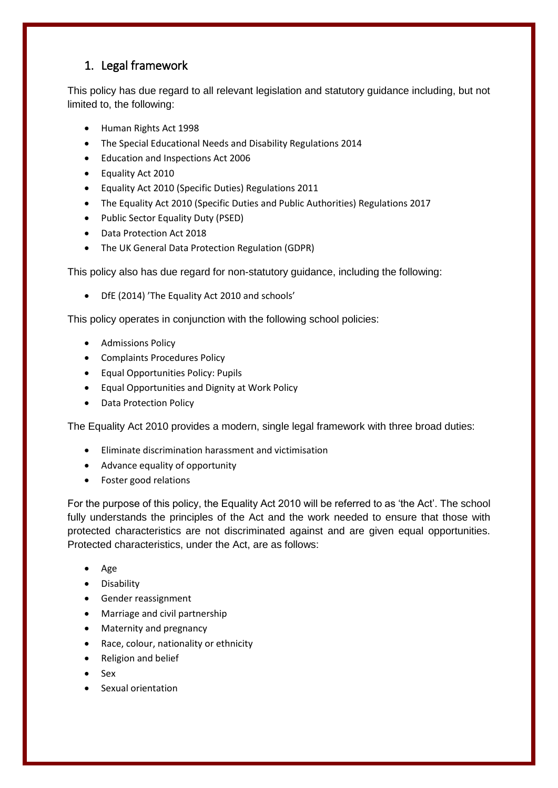## <span id="page-2-0"></span>1. Legal framework

This policy has due regard to all relevant legislation and statutory guidance including, but not limited to, the following:

- Human Rights Act 1998
- The Special Educational Needs and Disability Regulations 2014
- Education and Inspections Act 2006
- Equality Act 2010
- Equality Act 2010 (Specific Duties) Regulations 2011
- The Equality Act 2010 (Specific Duties and Public Authorities) Regulations 2017
- Public Sector Equality Duty (PSED)
- Data Protection Act 2018
- The UK General Data Protection Regulation (GDPR)

This policy also has due regard for non-statutory guidance, including the following:

DfE (2014) 'The Equality Act 2010 and schools'

This policy operates in conjunction with the following school policies:

- Admissions Policy
- Complaints Procedures Policy
- Equal Opportunities Policy: Pupils
- Equal Opportunities and Dignity at Work Policy
- Data Protection Policy

The Equality Act 2010 provides a modern, single legal framework with three broad duties:

- Eliminate discrimination harassment and victimisation
- Advance equality of opportunity
- Foster good relations

For the purpose of this policy, the Equality Act 2010 will be referred to as 'the Act'. The school fully understands the principles of the Act and the work needed to ensure that those with protected characteristics are not discriminated against and are given equal opportunities. Protected characteristics, under the Act, are as follows:

- Age
- **•** Disability
- Gender reassignment
- Marriage and civil partnership
- Maternity and pregnancy
- Race, colour, nationality or ethnicity
- Religion and belief
- $\bullet$  Sex
- Sexual orientation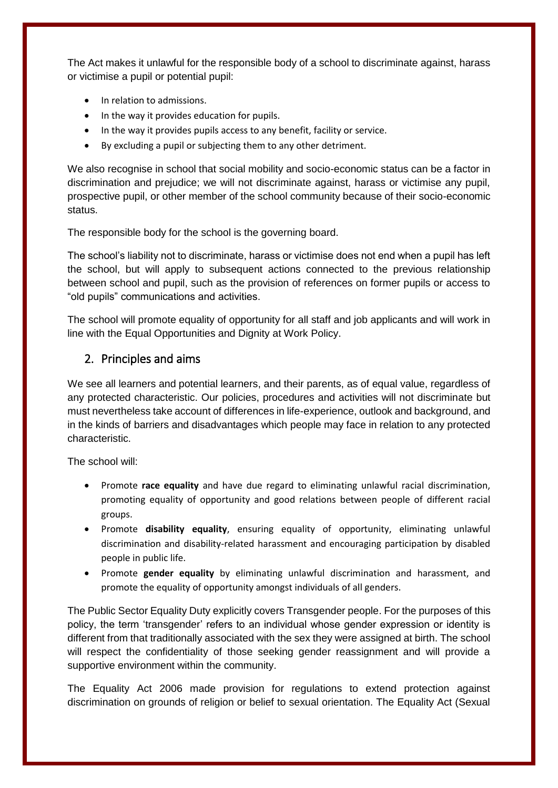The Act makes it unlawful for the responsible body of a school to discriminate against, harass or victimise a pupil or potential pupil:

- In relation to admissions.
- In the way it provides education for pupils.
- In the way it provides pupils access to any benefit, facility or service.
- By excluding a pupil or subjecting them to any other detriment.

We also recognise in school that social mobility and socio-economic status can be a factor in discrimination and prejudice; we will not discriminate against, harass or victimise any pupil, prospective pupil, or other member of the school community because of their socio-economic status.

The responsible body for the school is the governing board.

The school's liability not to discriminate, harass or victimise does not end when a pupil has left the school, but will apply to subsequent actions connected to the previous relationship between school and pupil, such as the provision of references on former pupils or access to "old pupils" communications and activities.

The school will promote equality of opportunity for all staff and job applicants and will work in line with the Equal Opportunities and Dignity at Work Policy.

#### <span id="page-3-0"></span>2. Principles and aims

We see all learners and potential learners, and their parents, as of equal value, regardless of any protected characteristic. Our policies, procedures and activities will not discriminate but must nevertheless take account of differences in life-experience, outlook and background, and in the kinds of barriers and disadvantages which people may face in relation to any protected characteristic.

The school will:

- Promote **race equality** and have due regard to eliminating unlawful racial discrimination, promoting equality of opportunity and good relations between people of different racial groups.
- Promote **disability equality**, ensuring equality of opportunity, eliminating unlawful discrimination and disability-related harassment and encouraging participation by disabled people in public life.
- Promote **gender equality** by eliminating unlawful discrimination and harassment, and promote the equality of opportunity amongst individuals of all genders.

The Public Sector Equality Duty explicitly covers Transgender people. For the purposes of this policy, the term 'transgender' refers to an individual whose gender expression or identity is different from that traditionally associated with the sex they were assigned at birth. The school will respect the confidentiality of those seeking gender reassignment and will provide a supportive environment within the community.

The Equality Act 2006 made provision for regulations to extend protection against discrimination on grounds of religion or belief to sexual orientation. The Equality Act (Sexual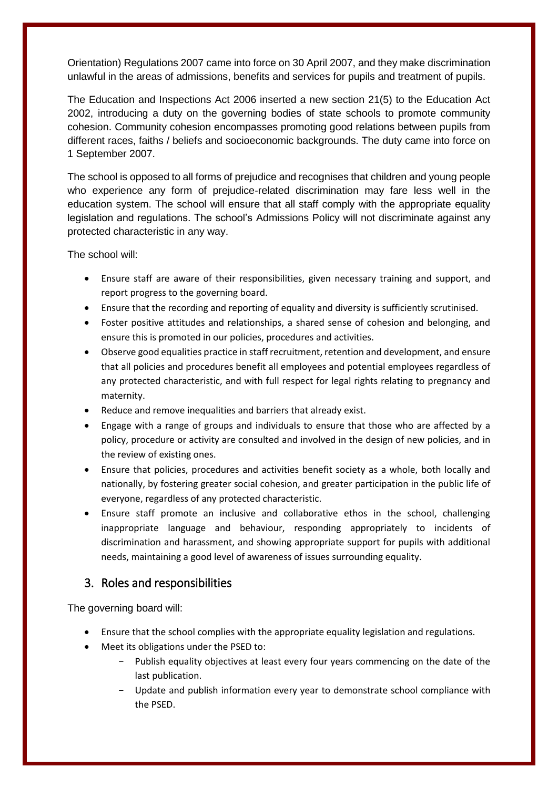Orientation) Regulations 2007 came into force on 30 April 2007, and they make discrimination unlawful in the areas of admissions, benefits and services for pupils and treatment of pupils.

The Education and Inspections Act 2006 inserted a new section 21(5) to the Education Act 2002, introducing a duty on the governing bodies of state schools to promote community cohesion. Community cohesion encompasses promoting good relations between pupils from different races, faiths / beliefs and socioeconomic backgrounds. The duty came into force on 1 September 2007.

The school is opposed to all forms of prejudice and recognises that children and young people who experience any form of prejudice-related discrimination may fare less well in the education system. The school will ensure that all staff comply with the appropriate equality legislation and regulations. The school's Admissions Policy will not discriminate against any protected characteristic in any way.

The school will:

- Ensure staff are aware of their responsibilities, given necessary training and support, and report progress to the governing board.
- Ensure that the recording and reporting of equality and diversity is sufficiently scrutinised.
- Foster positive attitudes and relationships, a shared sense of cohesion and belonging, and ensure this is promoted in our policies, procedures and activities.
- Observe good equalities practice in staff recruitment, retention and development, and ensure that all policies and procedures benefit all employees and potential employees regardless of any protected characteristic, and with full respect for legal rights relating to pregnancy and maternity.
- Reduce and remove inequalities and barriers that already exist.
- Engage with a range of groups and individuals to ensure that those who are affected by a policy, procedure or activity are consulted and involved in the design of new policies, and in the review of existing ones.
- Ensure that policies, procedures and activities benefit society as a whole, both locally and nationally, by fostering greater social cohesion, and greater participation in the public life of everyone, regardless of any protected characteristic.
- Ensure staff promote an inclusive and collaborative ethos in the school, challenging inappropriate language and behaviour, responding appropriately to incidents of discrimination and harassment, and showing appropriate support for pupils with additional needs, maintaining a good level of awareness of issues surrounding equality.

## <span id="page-4-0"></span>3. Roles and responsibilities

The governing board will:

- Ensure that the school complies with the appropriate equality legislation and regulations.
- Meet its obligations under the PSED to:
	- Publish equality objectives at least every four years commencing on the date of the last publication.
	- Update and publish information every year to demonstrate school compliance with the PSED.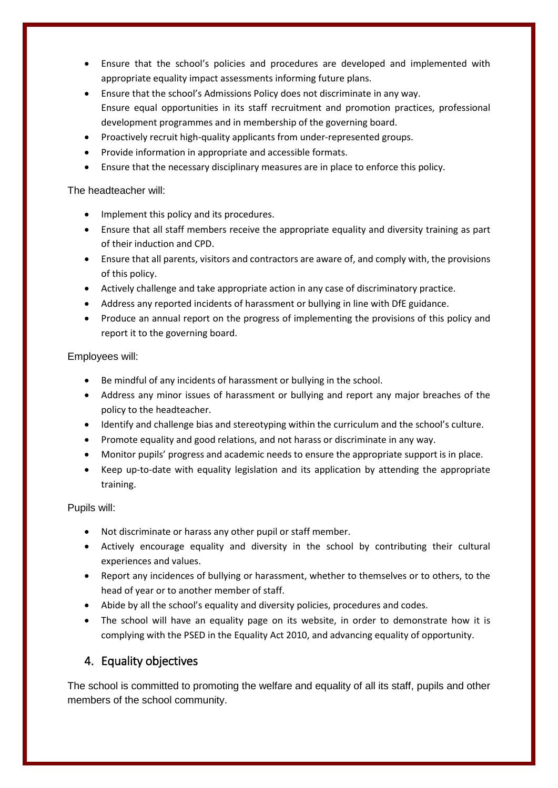- Ensure that the school's policies and procedures are developed and implemented with appropriate equality impact assessments informing future plans.
- Ensure that the school's Admissions Policy does not discriminate in any way. Ensure equal opportunities in its staff recruitment and promotion practices, professional development programmes and in membership of the governing board.
- Proactively recruit high-quality applicants from under-represented groups.
- Provide information in appropriate and accessible formats.
- Ensure that the necessary disciplinary measures are in place to enforce this policy.

#### The headteacher will:

- Implement this policy and its procedures.
- Ensure that all staff members receive the appropriate equality and diversity training as part of their induction and CPD.
- Ensure that all parents, visitors and contractors are aware of, and comply with, the provisions of this policy.
- Actively challenge and take appropriate action in any case of discriminatory practice.
- Address any reported incidents of harassment or bullying in line with DfE guidance.
- Produce an annual report on the progress of implementing the provisions of this policy and report it to the governing board.

Employees will:

- Be mindful of any incidents of harassment or bullying in the school.
- Address any minor issues of harassment or bullying and report any major breaches of the policy to the headteacher.
- Identify and challenge bias and stereotyping within the curriculum and the school's culture.
- Promote equality and good relations, and not harass or discriminate in any way.
- Monitor pupils' progress and academic needs to ensure the appropriate support is in place.
- Keep up-to-date with equality legislation and its application by attending the appropriate training.

Pupils will:

- Not discriminate or harass any other pupil or staff member.
- Actively encourage equality and diversity in the school by contributing their cultural experiences and values.
- Report any incidences of bullying or harassment, whether to themselves or to others, to the head of year or to another member of staff.
- Abide by all the school's equality and diversity policies, procedures and codes.
- The school will have an equality page on its website, in order to demonstrate how it is complying with the PSED in the Equality Act 2010, and advancing equality of opportunity.

## <span id="page-5-0"></span>4. Equality objectives

The school is committed to promoting the welfare and equality of all its staff, pupils and other members of the school community.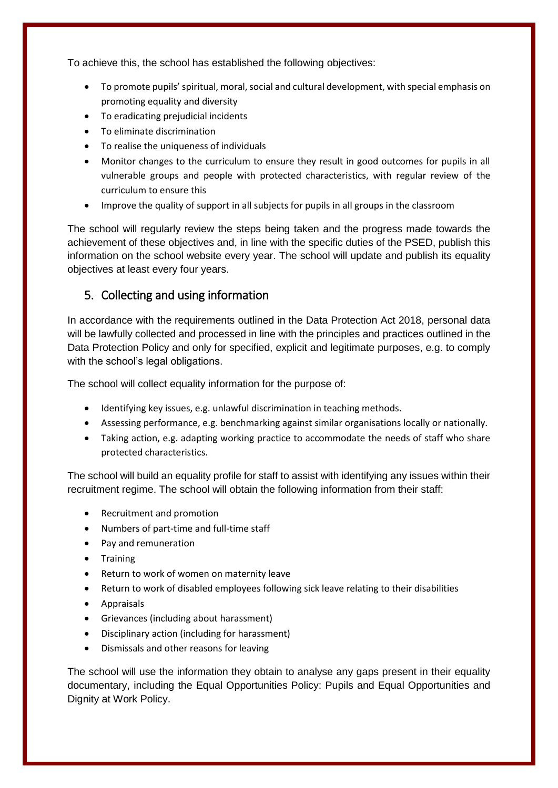To achieve this, the school has established the following objectives:

- To promote pupils' spiritual, moral, social and cultural development, with special emphasis on promoting equality and diversity
- To eradicating prejudicial incidents
- To eliminate discrimination
- To realise the uniqueness of individuals
- Monitor changes to the curriculum to ensure they result in good outcomes for pupils in all vulnerable groups and people with protected characteristics, with regular review of the curriculum to ensure this
- Improve the quality of support in all subjects for pupils in all groups in the classroom

The school will regularly review the steps being taken and the progress made towards the achievement of these objectives and, in line with the specific duties of the PSED, publish this information on the school website every year. The school will update and publish its equality objectives at least every four years.

#### <span id="page-6-0"></span>5. Collecting and using information

In accordance with the requirements outlined in the Data Protection Act 2018, personal data will be lawfully collected and processed in line with the principles and practices outlined in the Data Protection Policy and only for specified, explicit and legitimate purposes, e.g. to comply with the school's legal obligations.

The school will collect equality information for the purpose of:

- Identifying key issues, e.g. unlawful discrimination in teaching methods.
- Assessing performance, e.g. benchmarking against similar organisations locally or nationally.
- Taking action, e.g. adapting working practice to accommodate the needs of staff who share protected characteristics.

The school will build an equality profile for staff to assist with identifying any issues within their recruitment regime. The school will obtain the following information from their staff:

- Recruitment and promotion
- Numbers of part-time and full-time staff
- Pay and remuneration
- **•** Training
- Return to work of women on maternity leave
- Return to work of disabled employees following sick leave relating to their disabilities
- Appraisals
- Grievances (including about harassment)
- Disciplinary action (including for harassment)
- Dismissals and other reasons for leaving

The school will use the information they obtain to analyse any gaps present in their equality documentary, including the Equal Opportunities Policy: Pupils and Equal Opportunities and Dignity at Work Policy.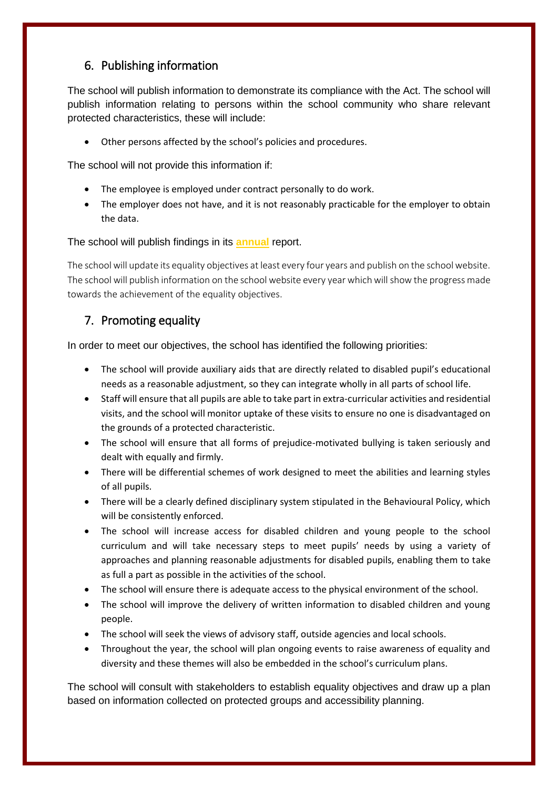## <span id="page-7-0"></span>6. Publishing information

The school will publish information to demonstrate its compliance with the Act. The school will publish information relating to persons within the school community who share relevant protected characteristics, these will include:

Other persons affected by the school's policies and procedures.

The school will not provide this information if:

- The employee is employed under contract personally to do work.
- The employer does not have, and it is not reasonably practicable for the employer to obtain the data.

#### The school will publish findings in its **annual** report.

The school will update its equality objectives at least every four years and publish on the school website. The school will publish information on the school website every year which will show the progress made towards the achievement of the equality objectives.

## <span id="page-7-1"></span>7. Promoting equality

In order to meet our objectives, the school has identified the following priorities:

- The school will provide auxiliary aids that are directly related to disabled pupil's educational needs as a reasonable adjustment, so they can integrate wholly in all parts of school life.
- Staff will ensure that all pupils are able to take part in extra-curricular activities and residential visits, and the school will monitor uptake of these visits to ensure no one is disadvantaged on the grounds of a protected characteristic.
- The school will ensure that all forms of prejudice-motivated bullying is taken seriously and dealt with equally and firmly.
- There will be differential schemes of work designed to meet the abilities and learning styles of all pupils.
- There will be a clearly defined disciplinary system stipulated in the Behavioural Policy, which will be consistently enforced.
- The school will increase access for disabled children and young people to the school curriculum and will take necessary steps to meet pupils' needs by using a variety of approaches and planning reasonable adjustments for disabled pupils, enabling them to take as full a part as possible in the activities of the school.
- The school will ensure there is adequate access to the physical environment of the school.
- The school will improve the delivery of written information to disabled children and young people.
- The school will seek the views of advisory staff, outside agencies and local schools.
- Throughout the year, the school will plan ongoing events to raise awareness of equality and diversity and these themes will also be embedded in the school's curriculum plans.

The school will consult with stakeholders to establish equality objectives and draw up a plan based on information collected on protected groups and accessibility planning.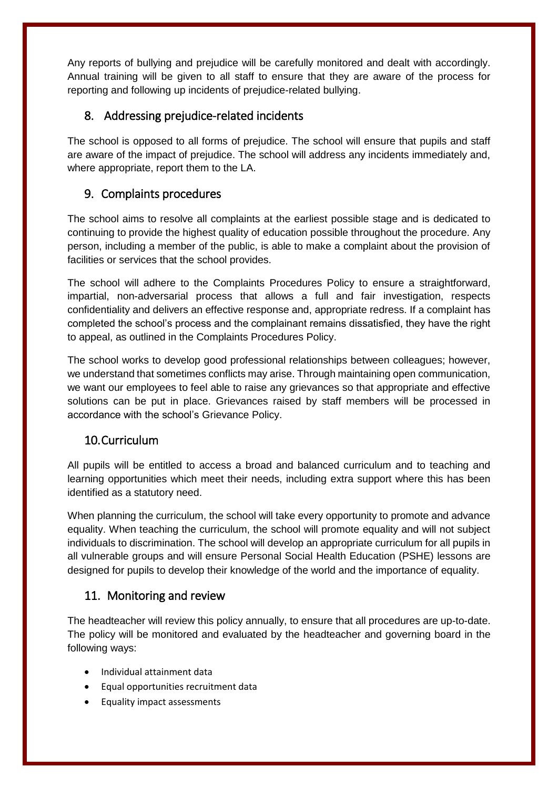Any reports of bullying and prejudice will be carefully monitored and dealt with accordingly. Annual training will be given to all staff to ensure that they are aware of the process for reporting and following up incidents of prejudice-related bullying.

## 8. Addressing prejudice-related incidents

The school is opposed to all forms of prejudice. The school will ensure that pupils and staff are aware of the impact of prejudice. The school will address any incidents immediately and, where appropriate, report them to the LA.

## <span id="page-8-0"></span>9. Complaints procedures

The school aims to resolve all complaints at the earliest possible stage and is dedicated to continuing to provide the highest quality of education possible throughout the procedure. Any person, including a member of the public, is able to make a complaint about the provision of facilities or services that the school provides.

The school will adhere to the Complaints Procedures Policy to ensure a straightforward, impartial, non-adversarial process that allows a full and fair investigation, respects confidentiality and delivers an effective response and, appropriate redress. If a complaint has completed the school's process and the complainant remains dissatisfied, they have the right to appeal, as outlined in the Complaints Procedures Policy.

The school works to develop good professional relationships between colleagues; however, we understand that sometimes conflicts may arise. Through maintaining open communication, we want our employees to feel able to raise any grievances so that appropriate and effective solutions can be put in place. Grievances raised by staff members will be processed in accordance with the school's Grievance Policy.

## <span id="page-8-1"></span>10.Curriculum

All pupils will be entitled to access a broad and balanced curriculum and to teaching and learning opportunities which meet their needs, including extra support where this has been identified as a statutory need.

When planning the curriculum, the school will take every opportunity to promote and advance equality. When teaching the curriculum, the school will promote equality and will not subject individuals to discrimination. The school will develop an appropriate curriculum for all pupils in all vulnerable groups and will ensure Personal Social Health Education (PSHE) lessons are designed for pupils to develop their knowledge of the world and the importance of equality.

## <span id="page-8-2"></span>11. Monitoring and review

The headteacher will review this policy annually, to ensure that all procedures are up-to-date. The policy will be monitored and evaluated by the headteacher and governing board in the following ways:

- Individual attainment data
- Equal opportunities recruitment data
- Equality impact assessments